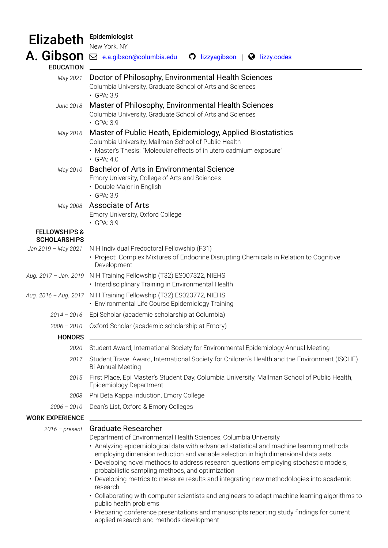## Elizabeth Epidemiologist

| ======                                          | New York, NY                                                                                                                                                                                                                                                                                                                                                                                                                                                                                                                                                                                                                                                                                                                                                                                             |
|-------------------------------------------------|----------------------------------------------------------------------------------------------------------------------------------------------------------------------------------------------------------------------------------------------------------------------------------------------------------------------------------------------------------------------------------------------------------------------------------------------------------------------------------------------------------------------------------------------------------------------------------------------------------------------------------------------------------------------------------------------------------------------------------------------------------------------------------------------------------|
| A. Gibson                                       | $\boxdot$ e.a.gibson@columbia.edu   $\bigcirc$ lizzyagibson   $\bigcirc$ lizzy.codes                                                                                                                                                                                                                                                                                                                                                                                                                                                                                                                                                                                                                                                                                                                     |
| <b>EDUCATION</b>                                |                                                                                                                                                                                                                                                                                                                                                                                                                                                                                                                                                                                                                                                                                                                                                                                                          |
| May 2021                                        | Doctor of Philosophy, Environmental Health Sciences<br>Columbia University, Graduate School of Arts and Sciences<br>$\cdot$ GPA: 3.9                                                                                                                                                                                                                                                                                                                                                                                                                                                                                                                                                                                                                                                                     |
| June 2018                                       | Master of Philosophy, Environmental Health Sciences<br>Columbia University, Graduate School of Arts and Sciences<br>$\cdot$ GPA: 3.9                                                                                                                                                                                                                                                                                                                                                                                                                                                                                                                                                                                                                                                                     |
| May 2016                                        | Master of Public Heath, Epidemiology, Applied Biostatistics<br>Columbia University, Mailman School of Public Health<br>· Master's Thesis: "Molecular effects of in utero cadmium exposure"<br>$\cdot$ GPA: 4.0                                                                                                                                                                                                                                                                                                                                                                                                                                                                                                                                                                                           |
| May 2010                                        | <b>Bachelor of Arts in Environmental Science</b><br>Emory University, College of Arts and Sciences<br>• Double Major in English<br>• GPA: 3.9                                                                                                                                                                                                                                                                                                                                                                                                                                                                                                                                                                                                                                                            |
| May 2008                                        | <b>Associate of Arts</b><br>Emory University, Oxford College<br>• GPA: 3.9                                                                                                                                                                                                                                                                                                                                                                                                                                                                                                                                                                                                                                                                                                                               |
| <b>FELLOWSHIPS &amp;</b><br><b>SCHOLARSHIPS</b> |                                                                                                                                                                                                                                                                                                                                                                                                                                                                                                                                                                                                                                                                                                                                                                                                          |
| Jan 2019 - May 2021                             | NIH Individual Predoctoral Fellowship (F31)<br>• Project: Complex Mixtures of Endocrine Disrupting Chemicals in Relation to Cognitive<br>Development                                                                                                                                                                                                                                                                                                                                                                                                                                                                                                                                                                                                                                                     |
|                                                 | Aug. 2017 - Jan. 2019 NIH Training Fellowship (T32) ES007322, NIEHS<br>• Interdisciplinary Training in Environmental Health                                                                                                                                                                                                                                                                                                                                                                                                                                                                                                                                                                                                                                                                              |
|                                                 | Aug. 2016 - Aug. 2017 NIH Training Fellowship (T32) ES023772, NIEHS<br>• Environmental Life Course Epidemiology Training                                                                                                                                                                                                                                                                                                                                                                                                                                                                                                                                                                                                                                                                                 |
| $2014 - 2016$                                   | Epi Scholar (academic scholarship at Columbia)                                                                                                                                                                                                                                                                                                                                                                                                                                                                                                                                                                                                                                                                                                                                                           |
|                                                 | 2006 - 2010 Oxford Scholar (academic scholarship at Emory)                                                                                                                                                                                                                                                                                                                                                                                                                                                                                                                                                                                                                                                                                                                                               |
| <b>HONORS</b>                                   |                                                                                                                                                                                                                                                                                                                                                                                                                                                                                                                                                                                                                                                                                                                                                                                                          |
| 2020                                            | Student Award, International Society for Environmental Epidemiology Annual Meeting                                                                                                                                                                                                                                                                                                                                                                                                                                                                                                                                                                                                                                                                                                                       |
| 2017                                            | Student Travel Award, International Society for Children's Health and the Environment (ISCHE)<br><b>Bi-Annual Meeting</b>                                                                                                                                                                                                                                                                                                                                                                                                                                                                                                                                                                                                                                                                                |
| 2015                                            | First Place, Epi Master's Student Day, Columbia University, Mailman School of Public Health,<br>Epidemiology Department                                                                                                                                                                                                                                                                                                                                                                                                                                                                                                                                                                                                                                                                                  |
| 2008                                            | Phi Beta Kappa induction, Emory College                                                                                                                                                                                                                                                                                                                                                                                                                                                                                                                                                                                                                                                                                                                                                                  |
| $2006 - 2010$                                   | Dean's List, Oxford & Emory Colleges                                                                                                                                                                                                                                                                                                                                                                                                                                                                                                                                                                                                                                                                                                                                                                     |
| <b>WORK EXPERIENCE</b>                          |                                                                                                                                                                                                                                                                                                                                                                                                                                                                                                                                                                                                                                                                                                                                                                                                          |
| $2016$ - present                                | <b>Graduate Researcher</b><br>Department of Environmental Health Sciences, Columbia University<br>• Analyzing epidemiological data with advanced statistical and machine learning methods<br>employing dimension reduction and variable selection in high dimensional data sets<br>• Developing novel methods to address research questions employing stochastic models,<br>probabilistic sampling methods, and optimization<br>• Developing metrics to measure results and integrating new methodologies into academic<br>research<br>• Collaborating with computer scientists and engineers to adapt machine learning algorithms to<br>public health problems<br>• Preparing conference presentations and manuscripts reporting study findings for current<br>applied research and methods development |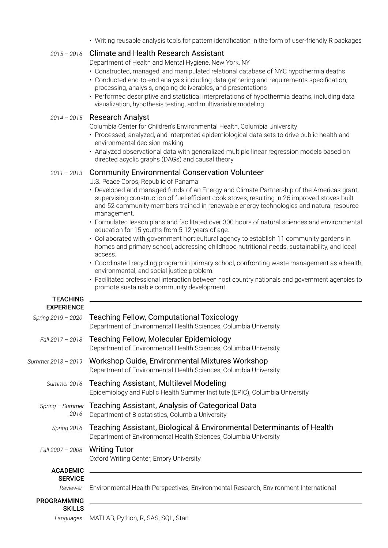• Writing reusable analysis tools for pattern identification in the form of user-friendly R packages

## *2015 – 2016* Climate and Health Research Assistant

Department of Health and Mental Hygiene, New York, NY

- Constructed, managed, and manipulated relational database of NYC hypothermia deaths
- Conducted end-to-end analysis including data gathering and requirements specification, processing, analysis, ongoing deliverables, and presentations
- Performed descriptive and statistical interpretations of hypothermia deaths, including data visualization, hypothesis testing, and multivariable modeling

## *2014 – 2015* Research Analyst

teach ann an Aonaichte ann an Aonaich an a-

Columbia Center for Children's Environmental Health, Columbia University

- Processed, analyzed, and interpreted epidemiological data sets to drive public health and environmental decision-making
- Analyzed observational data with generalized multiple linear regression models based on directed acyclic graphs (DAGs) and causal theory

## *2011 – 2013* Community Environmental Conservation Volunteer

U.S. Peace Corps, Republic of Panama

- Developed and managed funds of an Energy and Climate Partnership of the Americas grant, supervising construction of fuel-efficient cook stoves, resulting in 26 improved stoves built and 52 community members trained in renewable energy technologies and natural resource management.
- Formulated lesson plans and facilitated over 300 hours of natural sciences and environmental education for 15 youths from 5-12 years of age.
- Collaborated with government horticultural agency to establish 11 community gardens in homes and primary school, addressing childhood nutritional needs, sustainability, and local access.
- Coordinated recycling program in primary school, confronting waste management as a health, environmental, and social justice problem.
- Facilitated professional interaction between host country nationals and government agencies to promote sustainable community development.

| TEACHING           |                                                                                                                                           |
|--------------------|-------------------------------------------------------------------------------------------------------------------------------------------|
| <b>EXPERIENCE</b>  |                                                                                                                                           |
| Spring 2019 - 2020 | Teaching Fellow, Computational Toxicology<br>Department of Environmental Health Sciences, Columbia University                             |
| Fall 2017 - 2018   | Teaching Fellow, Molecular Epidemiology<br>Department of Environmental Health Sciences, Columbia University                               |
| Summer 2018 - 2019 | Workshop Guide, Environmental Mixtures Workshop<br>Department of Environmental Health Sciences, Columbia University                       |
| Summer 2016        | <b>Teaching Assistant, Multilevel Modeling</b><br>Epidemiology and Public Health Summer Institute (EPIC), Columbia University             |
| 2016               | Spring - Summer Teaching Assistant, Analysis of Categorical Data<br>Department of Biostatistics, Columbia University                      |
| Spring 2016        | Teaching Assistant, Biological & Environmental Determinants of Health<br>Department of Environmental Health Sciences, Columbia University |
| Fall 2007 - 2008   | <b>Writing Tutor</b><br>Oxford Writing Center, Emory University                                                                           |
| <b>ACADEMIC</b>    |                                                                                                                                           |
| <b>SERVICE</b>     |                                                                                                                                           |
| Reviewer           | Environmental Health Perspectives, Environmental Research, Environment International                                                      |
| <b>PROGRAMMING</b> |                                                                                                                                           |
| <b>SKILLS</b>      |                                                                                                                                           |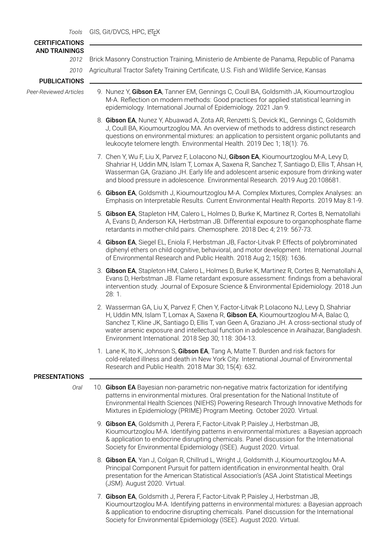| <b>CERTIFICATIONS</b><br><b>AND TRAININGS</b> |                                                                                                                                                                                                                                                                                                                                                                                                                                     |
|-----------------------------------------------|-------------------------------------------------------------------------------------------------------------------------------------------------------------------------------------------------------------------------------------------------------------------------------------------------------------------------------------------------------------------------------------------------------------------------------------|
| 2012                                          | Brick Masonry Construction Training, Ministerio de Ambiente de Panama, Republic of Panama                                                                                                                                                                                                                                                                                                                                           |
| 2010                                          | Agricultural Tractor Safety Training Certificate, U.S. Fish and Wildlife Service, Kansas                                                                                                                                                                                                                                                                                                                                            |
| <b>PUBLICATIONS</b>                           |                                                                                                                                                                                                                                                                                                                                                                                                                                     |
| Peer-Reviewed Articles                        | 9. Nunez Y, Gibson EA, Tanner EM, Gennings C, Coull BA, Goldsmith JA, Kioumourtzoglou<br>M-A. Reflection on modern methods: Good practices for applied statistical learning in<br>epidemiology. International Journal of Epidemiology. 2021 Jan 9.                                                                                                                                                                                  |
|                                               | 8. Gibson EA, Nunez Y, Abuawad A, Zota AR, Renzetti S, Devick KL, Gennings C, Goldsmith<br>J, Coull BA, Kioumourtzoglou MA. An overview of methods to address distinct research<br>questions on environmental mixtures: an application to persistent organic pollutants and<br>leukocyte telomere length. Environmental Health. 2019 Dec 1; 18(1): 76.                                                                              |
|                                               | 7. Chen Y, Wu F, Liu X, Parvez F, Lolacono NJ, Gibson EA, Kioumourtzoglou M-A, Levy D,<br>Shahriar H, Uddin MN, Islam T, Lomax A, Saxena R, Sanchez T, Santiago D, Ellis T, Ahsan H,<br>Wasserman GA, Graziano JH. Early life and adolescent arsenic exposure from drinking water<br>and blood pressure in adolescence. Environmental Research. 2019 Aug 20:108681.                                                                 |
|                                               | 6. Gibson EA, Goldsmith J, Kioumourtzoglou M-A. Complex Mixtures, Complex Analyses: an<br>Emphasis on Interpretable Results. Current Environmental Health Reports. 2019 May 8:1-9.                                                                                                                                                                                                                                                  |
|                                               | 5. Gibson EA, Stapleton HM, Calero L, Holmes D, Burke K, Martinez R, Cortes B, Nematollahi<br>A, Evans D, Anderson KA, Herbstman JB. Differential exposure to organophosphate flame<br>retardants in mother-child pairs. Chemosphere. 2018 Dec 4; 219: 567-73.                                                                                                                                                                      |
|                                               | 4. Gibson EA, Siegel EL, Eniola F, Herbstman JB, Factor-Litvak P. Effects of polybrominated<br>diphenyl ethers on child cognitive, behavioral, and motor development. International Journal<br>of Environmental Research and Public Health. 2018 Aug 2; 15(8): 1636.                                                                                                                                                                |
|                                               | 3. Gibson EA, Stapleton HM, Calero L, Holmes D, Burke K, Martinez R, Cortes B, Nematollahi A,<br>Evans D, Herbstman JB. Flame retardant exposure assessment: findings from a behavioral<br>intervention study. Journal of Exposure Science & Environmental Epidemiology. 2018 Jun<br>28:1.                                                                                                                                          |
|                                               | 2. Wasserman GA, Liu X, Parvez F, Chen Y, Factor-Litvak P, Lolacono NJ, Levy D, Shahriar<br>H, Uddin MN, Islam T, Lomax A, Saxena R, Gibson EA, Kioumourtzoglou M-A, Balac O,<br>Sanchez T, Kline JK, Santiago D, Ellis T, van Geen A, Graziano JH. A cross-sectional study of<br>water arsenic exposure and intellectual function in adolescence in Araihazar, Bangladesh.<br>Environment International. 2018 Sep 30; 118: 304-13. |
|                                               | 1. Lane K, Ito K, Johnson S, Gibson EA, Tang A, Matte T. Burden and risk factors for<br>cold-related illness and death in New York City. International Journal of Environmental<br>Research and Public Health. 2018 Mar 30; 15(4): 632.                                                                                                                                                                                             |
| <b>PRESENTATIONS</b>                          |                                                                                                                                                                                                                                                                                                                                                                                                                                     |
| Oral                                          | 10. Gibson EA Bayesian non-parametric non-negative matrix factorization for identifying<br>patterns in environmental mixtures. Oral presentation for the National Institute of<br>Environmental Health Sciences (NIEHS) Powering Research Through Innovative Methods for<br>Mixtures in Epidemiology (PRIME) Program Meeting. October 2020. Virtual.                                                                                |
|                                               | 9. Gibson EA, Goldsmith J, Perera F, Factor-Litvak P, Paisley J, Herbstman JB,<br>Kioumourtzoglou M-A. Identifying patterns in environmental mixtures: a Bayesian approach<br>& application to endocrine disrupting chemicals. Panel discussion for the International<br>Society for Environmental Epidemiology (ISEE). August 2020. Virtual.                                                                                       |
|                                               | 8. Gibson EA, Yan J, Colgan R, Chillrud L, Wright J, Goldsmith J, Kioumourtzoglou M-A.<br>Principal Component Pursuit for pattern identification in environmental health. Oral<br>presentation for the American Statistical Association's (ASA Joint Statistical Meetings<br>(JSM). August 2020. Virtual.                                                                                                                           |

7. Gibson EA, Goldsmith J, Perera F, Factor-Litvak P, Paisley J, Herbstman JB, Kioumourtzoglou M-A. Identifying patterns in environmental mixtures: a Bayesian approach & application to endocrine disrupting chemicals. Panel discussion for the International Society for Environmental Epidemiology (ISEE). August 2020. Virtual.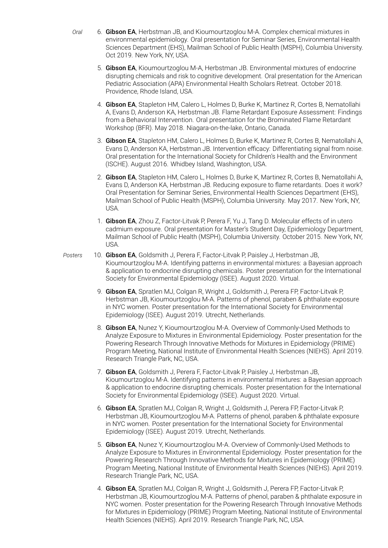- *Oral* 6. Gibson EA, Herbstman JB, and Kioumourtzoglou M-A. Complex chemical mixtures in environmental epidemiology. Oral presentation for Seminar Series, Environmental Health Sciences Department (EHS), Mailman School of Public Health (MSPH), Columbia University. Oct 2019. New York, NY, USA.
	- 5. Gibson EA, Kioumourtzoglou M-A, Herbstman JB. Environmental mixtures of endocrine disrupting chemicals and risk to cognitive development. Oral presentation for the American Pediatric Association (APA) Environmental Health Scholars Retreat. October 2018. Providence, Rhode Island, USA.
	- 4. Gibson EA, Stapleton HM, Calero L, Holmes D, Burke K, Martinez R, Cortes B, Nematollahi A, Evans D, Anderson KA, Herbstman JB. Flame Retardant Exposure Assessment: Findings from a Behavioral Intervention. Oral presentation for the Brominated Flame Retardant Workshop (BFR). May 2018. Niagara-on-the-lake, Ontario, Canada.
	- 3. Gibson EA, Stapleton HM, Calero L, Holmes D, Burke K, Martinez R, Cortes B, Nematollahi A, Evans D, Anderson KA, Herbstman JB. Intervention efficacy: Differentiating signal from noise. Oral presentation for the International Society for Children's Health and the Environment (ISCHE). August 2016. Whidbey Island, Washington, USA.
	- 2. Gibson EA, Stapleton HM, Calero L, Holmes D, Burke K, Martinez R, Cortes B, Nematollahi A, Evans D, Anderson KA, Herbstman JB. Reducing exposure to flame retardants. Does it work? Oral Presentation for Seminar Series, Environmental Health Sciences Department (EHS), Mailman School of Public Health (MSPH), Columbia University. May 2017. New York, NY, USA.
	- 1. Gibson EA, Zhou Z, Factor-Litvak P, Perera F, Yu J, Tang D. Molecular effects of in utero cadmium exposure. Oral presentation for Master's Student Day, Epidemiology Department, Mailman School of Public Health (MSPH), Columbia University. October 2015. New York, NY, USA.
- *Posters* 10. Gibson EA, Goldsmith J, Perera F, Factor-Litvak P, Paisley J, Herbstman JB, Kioumourtzoglou M-A. Identifying patterns in environmental mixtures: a Bayesian approach & application to endocrine disrupting chemicals. Poster presentation for the International Society for Environmental Epidemiology (ISEE). August 2020. Virtual.
	- 9. Gibson EA, Spratlen MJ, Colgan R, Wright J, Goldsmith J, Perera FP, Factor-Litvak P, Herbstman JB, Kioumourtzoglou M-A. Patterns of phenol, paraben & phthalate exposure in NYC women. Poster presentation for the International Society for Environmental Epidemiology (ISEE). August 2019. Utrecht, Netherlands.
	- 8. Gibson EA, Nunez Y, Kioumourtzoglou M-A. Overview of Commonly-Used Methods to Analyze Exposure to Mixtures in Environmental Epidemiology. Poster presentation for the Powering Research Through Innovative Methods for Mixtures in Epidemiology (PRIME) Program Meeting, National Institute of Environmental Health Sciences (NIEHS). April 2019. Research Triangle Park, NC, USA.
	- 7. Gibson EA, Goldsmith J, Perera F, Factor-Litvak P, Paisley J, Herbstman JB, Kioumourtzoglou M-A. Identifying patterns in environmental mixtures: a Bayesian approach & application to endocrine disrupting chemicals. Poster presentation for the International Society for Environmental Epidemiology (ISEE). August 2020. Virtual.
	- 6. Gibson EA, Spratlen MJ, Colgan R, Wright J, Goldsmith J, Perera FP, Factor-Litvak P, Herbstman JB, Kioumourtzoglou M-A. Patterns of phenol, paraben & phthalate exposure in NYC women. Poster presentation for the International Society for Environmental Epidemiology (ISEE). August 2019. Utrecht, Netherlands.
	- 5. Gibson EA, Nunez Y, Kioumourtzoglou M-A. Overview of Commonly-Used Methods to Analyze Exposure to Mixtures in Environmental Epidemiology. Poster presentation for the Powering Research Through Innovative Methods for Mixtures in Epidemiology (PRIME) Program Meeting, National Institute of Environmental Health Sciences (NIEHS). April 2019. Research Triangle Park, NC, USA.
	- 4. Gibson EA, Spratlen MJ, Colgan R, Wright J, Goldsmith J, Perera FP, Factor-Litvak P, Herbstman JB, Kioumourtzoglou M-A. Patterns of phenol, paraben & phthalate exposure in NYC women. Poster presentation for the Powering Research Through Innovative Methods for Mixtures in Epidemiology (PRIME) Program Meeting, National Institute of Environmental Health Sciences (NIEHS). April 2019. Research Triangle Park, NC, USA.